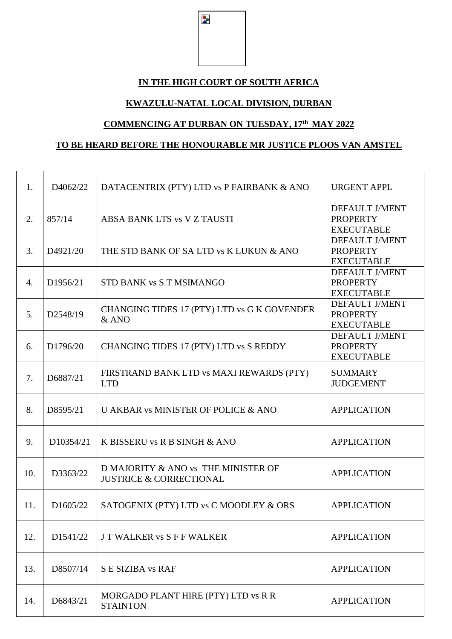$\overline{\mathbf{z}}$ 

## **IN THE HIGH COURT OF SOUTH AFRICA**

## **KWAZULU-NATAL LOCAL DIVISION, DURBAN**

## **COMMENCING AT DURBAN ON TUESDAY, 17th MAY 2022**

## **TO BE HEARD BEFORE THE HONOURABLE MR JUSTICE PLOOS VAN AMSTEL**

| 1.             | D4062/22  | DATACENTRIX (PTY) LTD vs P FAIRBANK & ANO                                 | <b>URGENT APPL</b>                                            |
|----------------|-----------|---------------------------------------------------------------------------|---------------------------------------------------------------|
| 2.             | 857/14    | ABSA BANK LTS vs V Z TAUSTI                                               | DEFAULT J/MENT<br><b>PROPERTY</b><br><b>EXECUTABLE</b>        |
| 3.             | D4921/20  | THE STD BANK OF SA LTD vs K LUKUN & ANO                                   | <b>DEFAULT J/MENT</b><br><b>PROPERTY</b><br><b>EXECUTABLE</b> |
| $\mathbf{4}$ . | D1956/21  | STD BANK vs S T MSIMANGO                                                  | <b>DEFAULT J/MENT</b><br><b>PROPERTY</b><br><b>EXECUTABLE</b> |
| 5.             | D2548/19  | CHANGING TIDES 17 (PTY) LTD vs G K GOVENDER<br>$&$ ANO                    | DEFAULT J/MENT<br><b>PROPERTY</b><br><b>EXECUTABLE</b>        |
| 6.             | D1796/20  | CHANGING TIDES 17 (PTY) LTD vs S REDDY                                    | <b>DEFAULT J/MENT</b><br><b>PROPERTY</b><br><b>EXECUTABLE</b> |
| 7.             | D6887/21  | FIRSTRAND BANK LTD vs MAXI REWARDS (PTY)<br><b>LTD</b>                    | <b>SUMMARY</b><br><b>JUDGEMENT</b>                            |
| 8.             | D8595/21  | U AKBAR vs MINISTER OF POLICE & ANO                                       | <b>APPLICATION</b>                                            |
| 9.             | D10354/21 | K BISSERU vs R B SINGH & ANO                                              | <b>APPLICATION</b>                                            |
| 10.            | D3363/22  | D MAJORITY & ANO vs THE MINISTER OF<br><b>JUSTRICE &amp; CORRECTIONAL</b> | <b>APPLICATION</b>                                            |
| 11.            | D1605/22  | SATOGENIX (PTY) LTD vs C MOODLEY & ORS                                    | <b>APPLICATION</b>                                            |
| 12.            | D1541/22  | <b>JT WALKER vs S F F WALKER</b>                                          | <b>APPLICATION</b>                                            |
| 13.            | D8507/14  | S E SIZIBA vs RAF                                                         | <b>APPLICATION</b>                                            |
| 14.            | D6843/21  | MORGADO PLANT HIRE (PTY) LTD vs R R<br><b>STAINTON</b>                    | <b>APPLICATION</b>                                            |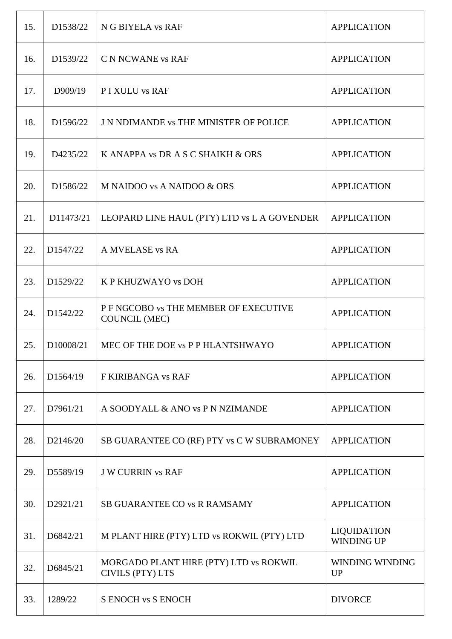| 15. | D1538/22  | N G BIYELA vs RAF                                                 | <b>APPLICATION</b>                      |
|-----|-----------|-------------------------------------------------------------------|-----------------------------------------|
| 16. | D1539/22  | C N NCWANE vs RAF                                                 | <b>APPLICATION</b>                      |
| 17. | D909/19   | P I XULU vs RAF                                                   | <b>APPLICATION</b>                      |
| 18. | D1596/22  | <b>J N NDIMANDE vs THE MINISTER OF POLICE</b>                     | <b>APPLICATION</b>                      |
| 19. | D4235/22  | K ANAPPA vs DR A S C SHAIKH & ORS                                 | <b>APPLICATION</b>                      |
| 20. | D1586/22  | M NAIDOO vs A NAIDOO & ORS                                        | <b>APPLICATION</b>                      |
| 21. | D11473/21 | LEOPARD LINE HAUL (PTY) LTD vs L A GOVENDER                       | <b>APPLICATION</b>                      |
| 22. | D1547/22  | A MVELASE vs RA                                                   | <b>APPLICATION</b>                      |
| 23. | D1529/22  | K P KHUZWAYO vs DOH                                               | <b>APPLICATION</b>                      |
| 24. | D1542/22  | P F NGCOBO vs THE MEMBER OF EXECUTIVE<br><b>COUNCIL (MEC)</b>     | <b>APPLICATION</b>                      |
| 25. | D10008/21 | MEC OF THE DOE vs P P HLANTSHWAYO                                 | <b>APPLICATION</b>                      |
| 26. | D1564/19  | F KIRIBANGA vs RAF                                                | <b>APPLICATION</b>                      |
| 27. | D7961/21  | A SOODYALL & ANO vs P N NZIMANDE                                  | <b>APPLICATION</b>                      |
| 28. | D2146/20  | SB GUARANTEE CO (RF) PTY vs C W SUBRAMONEY                        | <b>APPLICATION</b>                      |
| 29. | D5589/19  | <b>J W CURRIN vs RAF</b>                                          | <b>APPLICATION</b>                      |
| 30. | D2921/21  | <b>SB GUARANTEE CO vs R RAMSAMY</b>                               | <b>APPLICATION</b>                      |
| 31. | D6842/21  | M PLANT HIRE (PTY) LTD vs ROKWIL (PTY) LTD                        | <b>LIQUIDATION</b><br><b>WINDING UP</b> |
| 32. | D6845/21  | MORGADO PLANT HIRE (PTY) LTD vs ROKWIL<br><b>CIVILS (PTY) LTS</b> | <b>WINDING WINDING</b><br><b>UP</b>     |
| 33. | 1289/22   | <b>S ENOCH vs S ENOCH</b>                                         | <b>DIVORCE</b>                          |